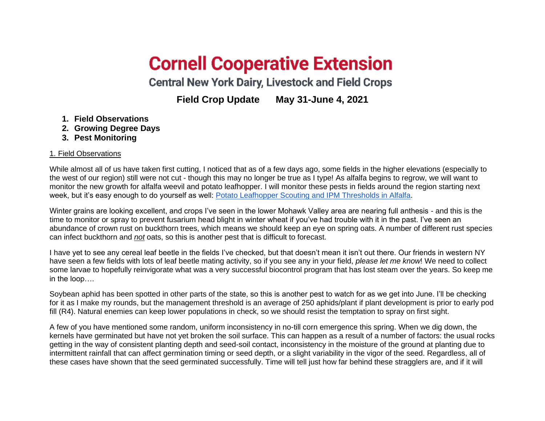## **Cornell Cooperative Extension**

**Central New York Dairy, Livestock and Field Crops** 

**Field Crop Update May 31-June 4, 2021**

- **1. Field Observations**
- **2. Growing Degree Days**
- **3. Pest Monitoring**

## 1. Field Observations

While almost all of us have taken first cutting, I noticed that as of a few days ago, some fields in the higher elevations (especially to the west of our region) still were not cut - though this may no longer be true as I type! As alfalfa begins to regrow, we will want to monitor the new growth for alfalfa weevil and potato leafhopper. I will monitor these pests in fields around the region starting next week, but it's easy enough to do yourself as well: [Potato Leafhopper Scouting and IPM Thresholds in Alfalfa.](https://www.youtube.com/watch?v=52fiHubptPs)

Winter grains are looking excellent, and crops I've seen in the lower Mohawk Valley area are nearing full anthesis - and this is the time to monitor or spray to prevent fusarium head blight in winter wheat if you've had trouble with it in the past. I've seen an abundance of crown rust on buckthorn trees, which means we should keep an eye on spring oats. A number of different rust species can infect buckthorn and *not* oats, so this is another pest that is difficult to forecast.

I have yet to see any cereal leaf beetle in the fields I've checked, but that doesn't mean it isn't out there. Our friends in western NY have seen a few fields with lots of leaf beetle mating activity, so if you see any in your field, *please let me know*! We need to collect some larvae to hopefully reinvigorate what was a very successful biocontrol program that has lost steam over the years. So keep me in the loop….

Soybean aphid has been spotted in other parts of the state, so this is another pest to watch for as we get into June. I'll be checking for it as I make my rounds, but the management threshold is an average of 250 aphids/plant if plant development is prior to early pod fill (R4). Natural enemies can keep lower populations in check, so we should resist the temptation to spray on first sight.

A few of you have mentioned some random, uniform inconsistency in no-till corn emergence this spring. When we dig down, the kernels have germinated but have not yet broken the soil surface. This can happen as a result of a number of factors: the usual rocks getting in the way of consistent planting depth and seed-soil contact, inconsistency in the moisture of the ground at planting due to intermittent rainfall that can affect germination timing or seed depth, or a slight variability in the vigor of the seed. Regardless, all of these cases have shown that the seed germinated successfully. Time will tell just how far behind these stragglers are, and if it will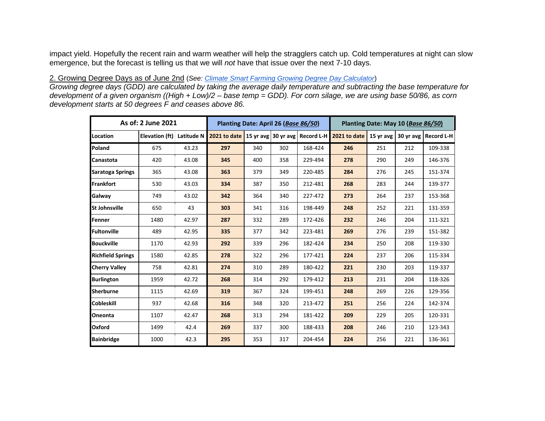impact yield. Hopefully the recent rain and warm weather will help the stragglers catch up. Cold temperatures at night can slow emergence, but the forecast is telling us that we will *not* have that issue over the next 7-10 days.

## 2. Growing Degree Days as of June 2nd (*See: [Climate Smart Farming Growing Degree Day Calculator](http://climatesmartfarming.org/tools/csf-growing-degree-day-calculator)*)

*Growing degree days (GDD) are calculated by taking the average daily temperature and subtracting the base temperature for development of a given organism ((High + Low)/2 – base temp = GDD). For corn silage, we are using base 50/86, as corn development starts at 50 degrees F and ceases above 86.*

| As of: 2 June 2021       | Planting Date: April 26 (Base 86/50) |            |                                                   |     | Planting Date: May 10 (Base 86/50) |         |                          |     |           |                   |
|--------------------------|--------------------------------------|------------|---------------------------------------------------|-----|------------------------------------|---------|--------------------------|-----|-----------|-------------------|
| Location                 | Elevation (ft)                       | Latitude N | 2021 to date   15 yr avg   30 yr avg   Record L-H |     |                                    |         | 2021 to date   15 yr avg |     | 30 yr avg | <b>Record L-H</b> |
| Poland                   | 675                                  | 43.23      | 297                                               | 340 | 302                                | 168-424 | 246                      | 251 | 212       | 109-338           |
| Canastota                | 420                                  | 43.08      | 345                                               | 400 | 358                                | 229-494 | 278                      | 290 | 249       | 146-376           |
| <b>Saratoga Springs</b>  | 365                                  | 43.08      | 363                                               | 379 | 349                                | 220-485 | 284                      | 276 | 245       | 151-374           |
| Frankfort                | 530                                  | 43.03      | 334                                               | 387 | 350                                | 212-481 | 268                      | 283 | 244       | 139-377           |
| Galway                   | 749                                  | 43.02      | 342                                               | 364 | 340                                | 227-472 | 273                      | 264 | 237       | 153-368           |
| <b>St Johnsville</b>     | 650                                  | 43         | 303                                               | 341 | 316                                | 198-449 | 248                      | 252 | 221       | 131-359           |
| Fenner                   | 1480                                 | 42.97      | 287                                               | 332 | 289                                | 172-426 | 232                      | 246 | 204       | 111-321           |
| Fultonville              | 489                                  | 42.95      | 335                                               | 377 | 342                                | 223-481 | 269                      | 276 | 239       | 151-382           |
| <b>Bouckville</b>        | 1170                                 | 42.93      | 292                                               | 339 | 296                                | 182-424 | 234                      | 250 | 208       | 119-330           |
| <b>Richfield Springs</b> | 1580                                 | 42.85      | 278                                               | 322 | 296                                | 177-421 | 224                      | 237 | 206       | 115-334           |
| <b>Cherry Valley</b>     | 758                                  | 42.81      | 274                                               | 310 | 289                                | 180-422 | 221                      | 230 | 203       | 119-337           |
| <b>Burlington</b>        | 1959                                 | 42.72      | 268                                               | 314 | 292                                | 179-412 | 213                      | 231 | 204       | 118-326           |
| Sherburne                | 1115                                 | 42.69      | 319                                               | 367 | 324                                | 199-451 | 248                      | 269 | 226       | 129-356           |
| <b>Cobleskill</b>        | 937                                  | 42.68      | 316                                               | 348 | 320                                | 213-472 | 251                      | 256 | 224       | 142-374           |
| Oneonta                  | 1107                                 | 42.47      | 268                                               | 313 | 294                                | 181-422 | 209                      | 229 | 205       | 120-331           |
| Oxford                   | 1499                                 | 42.4       | 269                                               | 337 | 300                                | 188-433 | 208                      | 246 | 210       | 123-343           |
| <b>Bainbridge</b>        | 1000                                 | 42.3       | 295                                               | 353 | 317                                | 204-454 | 224                      | 256 | 221       | 136-361           |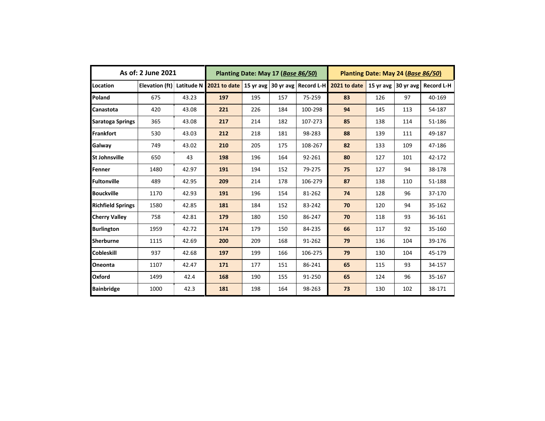| As of: 2 June 2021       |                |       | Planting Date: May 17 (Base 86/50) |                     |     |                   | Planting Date: May 24 (Base 86/50) |                     |     |                   |
|--------------------------|----------------|-------|------------------------------------|---------------------|-----|-------------------|------------------------------------|---------------------|-----|-------------------|
| Location                 | Elevation (ft) |       | Latitude N 2021 to date            | 15 yr avg 30 yr avg |     | <b>Record L-H</b> | 2021 to date                       | 15 yr avg 30 yr avg |     | <b>Record L-H</b> |
| Poland                   | 675            | 43.23 | 197                                | 195                 | 157 | 75-259            | 83                                 | 126                 | 97  | 40-169            |
| Canastota                | 420            | 43.08 | 221                                | 226                 | 184 | 100-298           | 94                                 | 145                 | 113 | 54-187            |
| <b>Saratoga Springs</b>  | 365            | 43.08 | 217                                | 214                 | 182 | 107-273           | 85                                 | 138                 | 114 | 51-186            |
| <b>Frankfort</b>         | 530            | 43.03 | 212                                | 218                 | 181 | 98-283            | 88                                 | 139                 | 111 | 49-187            |
| Galway                   | 749            | 43.02 | 210                                | 205                 | 175 | 108-267           | 82                                 | 133                 | 109 | 47-186            |
| <b>St Johnsville</b>     | 650            | 43    | 198                                | 196                 | 164 | 92-261            | 80                                 | 127                 | 101 | 42-172            |
| Fenner                   | 1480           | 42.97 | 191                                | 194                 | 152 | 79-275            | 75                                 | 127                 | 94  | 38-178            |
| Fultonville              | 489            | 42.95 | 209                                | 214                 | 178 | 106-279           | 87                                 | 138                 | 110 | 51-188            |
| <b>Bouckville</b>        | 1170           | 42.93 | 191                                | 196                 | 154 | 81-262            | 74                                 | 128                 | 96  | 37-170            |
| <b>Richfield Springs</b> | 1580           | 42.85 | 181                                | 184                 | 152 | 83-242            | 70                                 | 120                 | 94  | 35-162            |
| <b>Cherry Valley</b>     | 758            | 42.81 | 179                                | 180                 | 150 | 86-247            | 70                                 | 118                 | 93  | 36-161            |
| <b>Burlington</b>        | 1959           | 42.72 | 174                                | 179                 | 150 | 84-235            | 66                                 | 117                 | 92  | 35-160            |
| <b>Sherburne</b>         | 1115           | 42.69 | 200                                | 209                 | 168 | 91-262            | 79                                 | 136                 | 104 | 39-176            |
| <b>Cobleskill</b>        | 937            | 42.68 | 197                                | 199                 | 166 | 106-275           | 79                                 | 130                 | 104 | 45-179            |
| Oneonta                  | 1107           | 42.47 | 171                                | 177                 | 151 | 86-241            | 65                                 | 115                 | 93  | 34-157            |
| Oxford                   | 1499           | 42.4  | 168                                | 190                 | 155 | 91-250            | 65                                 | 124                 | 96  | 35-167            |
| <b>Bainbridge</b>        | 1000           | 42.3  | 181                                | 198                 | 164 | 98-263            | 73                                 | 130                 | 102 | 38-171            |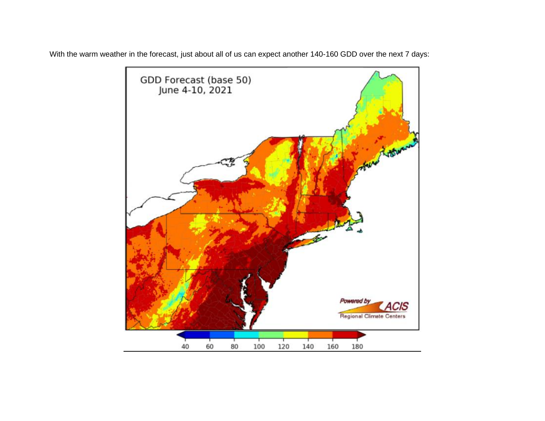

With the warm weather in the forecast, just about all of us can expect another 140-160 GDD over the next 7 days: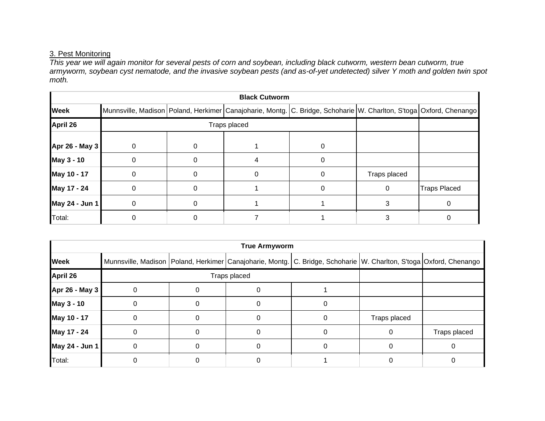## 3. Pest Monitoring

*This year we will again monitor for several pests of corn and soybean, including black cutworm, western bean cutworm, true armyworm, soybean cyst nematode, and the invasive soybean pests (and as-of-yet undetected) silver Y moth and golden twin spot moth.*

| <b>Black Cutworm</b> |          |              |  |                                                                                                                              |              |                     |  |  |  |
|----------------------|----------|--------------|--|------------------------------------------------------------------------------------------------------------------------------|--------------|---------------------|--|--|--|
| <b>Week</b>          |          |              |  | Munnsville, Madison   Poland, Herkimer   Canajoharie, Montg.   C. Bridge, Schoharie   W. Charlton, S'toga   Oxford, Chenango |              |                     |  |  |  |
| <b>April 26</b>      |          | Traps placed |  |                                                                                                                              |              |                     |  |  |  |
| Apr 26 - May 3       | $\Omega$ |              |  |                                                                                                                              |              |                     |  |  |  |
| May 3 - 10           | $\Omega$ |              |  |                                                                                                                              |              |                     |  |  |  |
| May 10 - 17          | $\Omega$ |              |  |                                                                                                                              | Traps placed |                     |  |  |  |
| May 17 - 24          | $\Omega$ |              |  |                                                                                                                              | 0            | <b>Traps Placed</b> |  |  |  |
| May 24 - Jun 1       | 0        |              |  |                                                                                                                              |              |                     |  |  |  |
| Total:               |          |              |  |                                                                                                                              |              |                     |  |  |  |

| <b>True Armyworm</b> |              |  |  |                                                                                                                              |              |              |  |  |  |  |
|----------------------|--------------|--|--|------------------------------------------------------------------------------------------------------------------------------|--------------|--------------|--|--|--|--|
| <b>Week</b>          |              |  |  | Munnsville, Madison   Poland, Herkimer   Canajoharie, Montg.   C. Bridge, Schoharie   W. Charlton, S'toga   Oxford, Chenango |              |              |  |  |  |  |
| <b>April 26</b>      | Traps placed |  |  |                                                                                                                              |              |              |  |  |  |  |
| Apr 26 - May 3       |              |  |  |                                                                                                                              |              |              |  |  |  |  |
| May 3 - 10           |              |  |  |                                                                                                                              |              |              |  |  |  |  |
| May 10 - 17          |              |  |  |                                                                                                                              | Traps placed |              |  |  |  |  |
| May 17 - 24          | ∩            |  |  |                                                                                                                              |              | Traps placed |  |  |  |  |
| May 24 - Jun 1       |              |  |  |                                                                                                                              |              |              |  |  |  |  |
| Total:               |              |  |  |                                                                                                                              |              |              |  |  |  |  |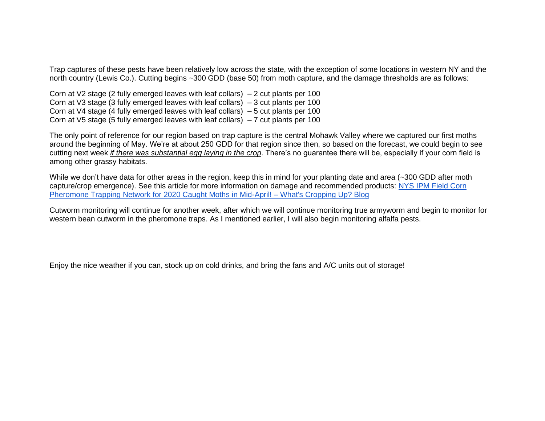Trap captures of these pests have been relatively low across the state, with the exception of some locations in western NY and the north country (Lewis Co.). Cutting begins ~300 GDD (base 50) from moth capture, and the damage thresholds are as follows:

Corn at V2 stage (2 fully emerged leaves with leaf collars)  $-2$  cut plants per 100 Corn at V3 stage (3 fully emerged leaves with leaf collars) – 3 cut plants per 100 Corn at V4 stage (4 fully emerged leaves with leaf collars) – 5 cut plants per 100 Corn at V5 stage (5 fully emerged leaves with leaf collars) – 7 cut plants per 100

The only point of reference for our region based on trap capture is the central Mohawk Valley where we captured our first moths around the beginning of May. We're at about 250 GDD for that region since then, so based on the forecast, we could begin to see cutting next week *if there was substantial egg laying in the crop*. There's no guarantee there will be, especially if your corn field is among other grassy habitats.

While we don't have data for other areas in the region, keep this in mind for your planting date and area (~300 GDD after moth capture/crop emergence). See this article for more information on damage and recommended products: [NYS IPM Field Corn](https://blogs.cornell.edu/whatscroppingup/2020/04/17/nys-ipm-field-corn-pheromone-trapping-network-for-2020-caught-moths-in-mid-april/)  [Pheromone Trapping Network for 2020 Caught Moths in Mid-April! –](https://blogs.cornell.edu/whatscroppingup/2020/04/17/nys-ipm-field-corn-pheromone-trapping-network-for-2020-caught-moths-in-mid-april/) What's Cropping Up? Blog

Cutworm monitoring will continue for another week, after which we will continue monitoring true armyworm and begin to monitor for western bean cutworm in the pheromone traps. As I mentioned earlier, I will also begin monitoring alfalfa pests.

Enjoy the nice weather if you can, stock up on cold drinks, and bring the fans and A/C units out of storage!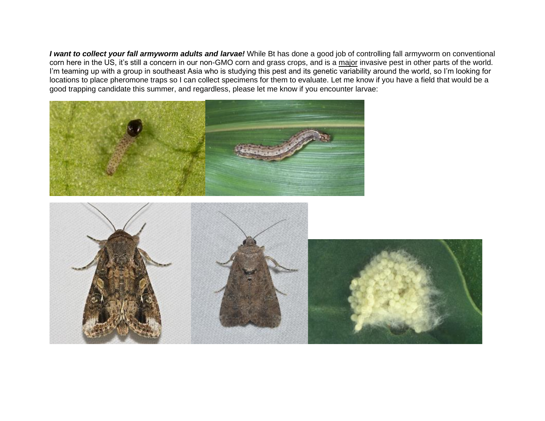*I want to collect your fall armyworm adults and larvae!* While Bt has done a good job of controlling fall armyworm on conventional corn here in the US, it's still a concern in our non-GMO corn and grass crops, and is a major invasive pest in other parts of the world. I'm teaming up with a group in southeast Asia who is studying this pest and its genetic variability around the world, so I'm looking for locations to place pheromone traps so I can collect specimens for them to evaluate. Let me know if you have a field that would be a good trapping candidate this summer, and regardless, please let me know if you encounter larvae: